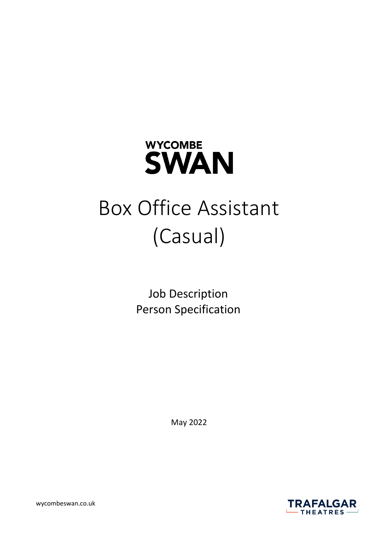

# Box Office Assistant (Casual)

Job Description Person Specification

May 2022

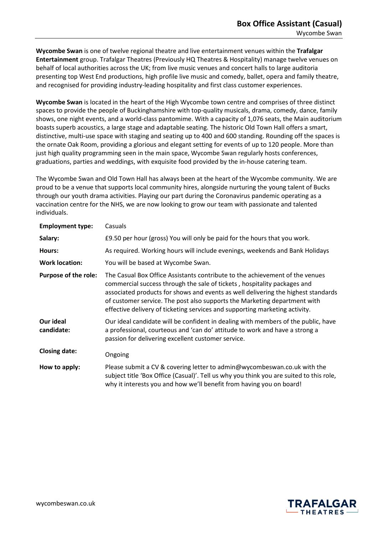**Wycombe Swan** is one of twelve regional theatre and live entertainment venues within the **Trafalgar Entertainment** group. Trafalgar Theatres (Previously HQ Theatres & Hospitality) manage twelve venues on behalf of local authorities across the UK; from live music venues and concert halls to large auditoria presenting top West End productions, high profile live music and comedy, ballet, opera and family theatre, and recognised for providing industry-leading hospitality and first class customer experiences.

**Wycombe Swan** is located in the heart of the High Wycombe town centre and comprises of three distinct spaces to provide the people of Buckinghamshire with top-quality musicals, drama, comedy, dance, family shows, one night events, and a world-class pantomime. With a capacity of 1,076 seats, the Main auditorium boasts superb acoustics, a large stage and adaptable seating. The historic Old Town Hall offers a smart, distinctive, multi-use space with staging and seating up to 400 and 600 standing. Rounding off the spaces is the ornate Oak Room, providing a glorious and elegant setting for events of up to 120 people. More than just high quality programming seen in the main space, Wycombe Swan regularly hosts conferences, graduations, parties and weddings, with exquisite food provided by the in-house catering team.

The Wycombe Swan and Old Town Hall has always been at the heart of the Wycombe community. We are proud to be a venue that supports local community hires, alongside nurturing the young talent of Bucks through our youth drama activities. Playing our part during the Coronavirus pandemic operating as a vaccination centre for the NHS, we are now looking to grow our team with passionate and talented individuals.

| <b>Employment type:</b>     | Casuals                                                                                                                                                                                                                                                                                                                                                                                                   |
|-----------------------------|-----------------------------------------------------------------------------------------------------------------------------------------------------------------------------------------------------------------------------------------------------------------------------------------------------------------------------------------------------------------------------------------------------------|
| Salary:                     | £9.50 per hour (gross) You will only be paid for the hours that you work.                                                                                                                                                                                                                                                                                                                                 |
| Hours:                      | As required. Working hours will include evenings, weekends and Bank Holidays                                                                                                                                                                                                                                                                                                                              |
| <b>Work location:</b>       | You will be based at Wycombe Swan.                                                                                                                                                                                                                                                                                                                                                                        |
| <b>Purpose of the role:</b> | The Casual Box Office Assistants contribute to the achievement of the venues<br>commercial success through the sale of tickets, hospitality packages and<br>associated products for shows and events as well delivering the highest standards<br>of customer service. The post also supports the Marketing department with<br>effective delivery of ticketing services and supporting marketing activity. |
| Our ideal<br>candidate:     | Our ideal candidate will be confident in dealing with members of the public, have<br>a professional, courteous and 'can do' attitude to work and have a strong a<br>passion for delivering excellent customer service.                                                                                                                                                                                    |
| <b>Closing date:</b>        | Ongoing                                                                                                                                                                                                                                                                                                                                                                                                   |
| How to apply:               | Please submit a CV & covering letter to admin@wycombeswan.co.uk with the<br>subject title 'Box Office (Casual)'. Tell us why you think you are suited to this role,<br>why it interests you and how we'll benefit from having you on board!                                                                                                                                                               |

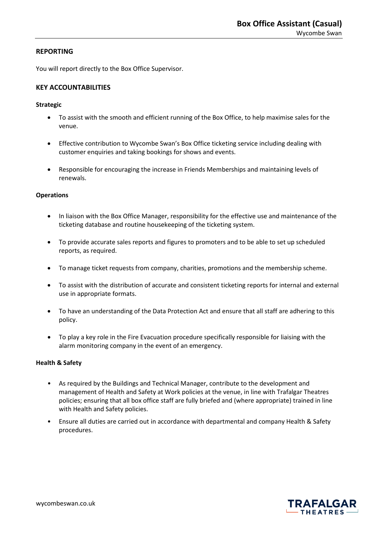## **REPORTING**

You will report directly to the Box Office Supervisor.

## **KEY ACCOUNTABILITIES**

#### **Strategic**

- To assist with the smooth and efficient running of the Box Office, to help maximise sales for the venue.
- Effective contribution to Wycombe Swan's Box Office ticketing service including dealing with customer enquiries and taking bookings for shows and events.
- Responsible for encouraging the increase in Friends Memberships and maintaining levels of renewals.

#### **Operations**

- In liaison with the Box Office Manager, responsibility for the effective use and maintenance of the ticketing database and routine housekeeping of the ticketing system.
- To provide accurate sales reports and figures to promoters and to be able to set up scheduled reports, as required.
- To manage ticket requests from company, charities, promotions and the membership scheme.
- To assist with the distribution of accurate and consistent ticketing reports for internal and external use in appropriate formats.
- To have an understanding of the Data Protection Act and ensure that all staff are adhering to this policy.
- To play a key role in the Fire Evacuation procedure specifically responsible for liaising with the alarm monitoring company in the event of an emergency.

## **Health & Safety**

- As required by the Buildings and Technical Manager, contribute to the development and management of Health and Safety at Work policies at the venue, in line with Trafalgar Theatres policies; ensuring that all box office staff are fully briefed and (where appropriate) trained in line with Health and Safety policies.
- Ensure all duties are carried out in accordance with departmental and company Health & Safety procedures.

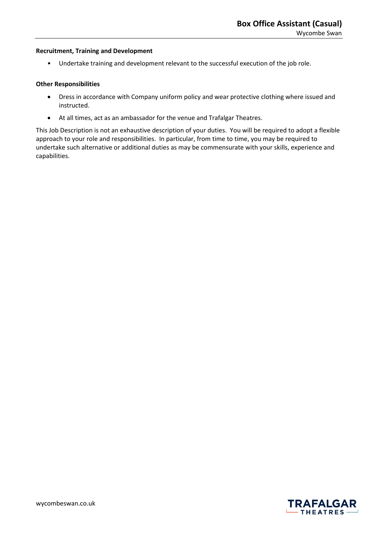### **Recruitment, Training and Development**

• Undertake training and development relevant to the successful execution of the job role.

## **Other Responsibilities**

- Dress in accordance with Company uniform policy and wear protective clothing where issued and instructed.
- At all times, act as an ambassador for the venue and Trafalgar Theatres.

This Job Description is not an exhaustive description of your duties. You will be required to adopt a flexible approach to your role and responsibilities. In particular, from time to time, you may be required to undertake such alternative or additional duties as may be commensurate with your skills, experience and capabilities.